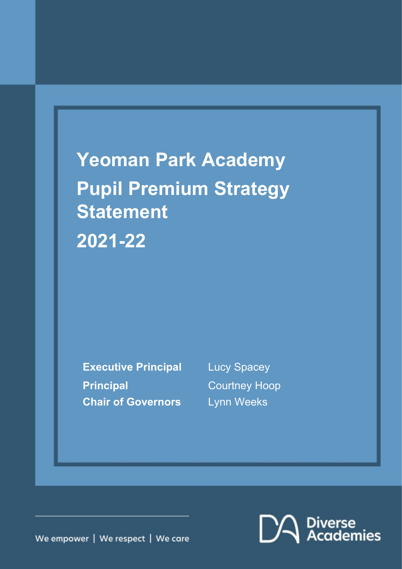# **Yeoman Park Academy Pupil Premium Strategy Statement 2021-22**

**Executive Principal** Lucy Spacey **Principal** Courtney Hoop **Chair of Governors** Lynn Weeks

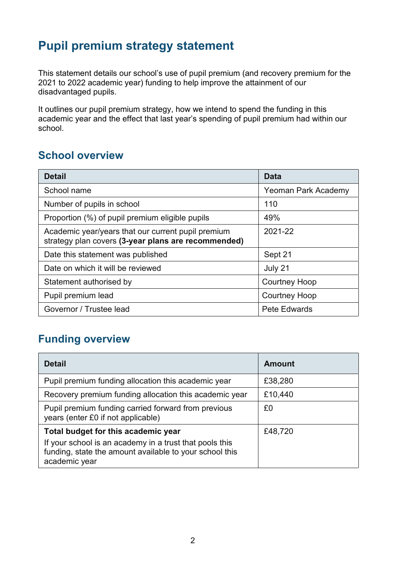## **Pupil premium strategy statement**

This statement details our school's use of pupil premium (and recovery premium for the 2021 to 2022 academic year) funding to help improve the attainment of our disadvantaged pupils.

It outlines our pupil premium strategy, how we intend to spend the funding in this academic year and the effect that last year's spending of pupil premium had within our school.

## **School overview**

| <b>Detail</b>                                                                                             | <b>Data</b>          |
|-----------------------------------------------------------------------------------------------------------|----------------------|
| School name                                                                                               | Yeoman Park Academy  |
| Number of pupils in school                                                                                | 110                  |
| Proportion (%) of pupil premium eligible pupils                                                           | 49%                  |
| Academic year/years that our current pupil premium<br>strategy plan covers (3-year plans are recommended) | 2021-22              |
| Date this statement was published                                                                         | Sept 21              |
| Date on which it will be reviewed                                                                         | July 21              |
| Statement authorised by                                                                                   | <b>Courtney Hoop</b> |
| Pupil premium lead                                                                                        | <b>Courtney Hoop</b> |
| Governor / Trustee lead                                                                                   | Pete Edwards         |

## **Funding overview**

| <b>Detail</b>                                                                                                                                                              | <b>Amount</b> |
|----------------------------------------------------------------------------------------------------------------------------------------------------------------------------|---------------|
| Pupil premium funding allocation this academic year                                                                                                                        | £38,280       |
| Recovery premium funding allocation this academic year                                                                                                                     | £10,440       |
| Pupil premium funding carried forward from previous<br>years (enter £0 if not applicable)                                                                                  | £0            |
| Total budget for this academic year<br>If your school is an academy in a trust that pools this<br>funding, state the amount available to your school this<br>academic year | £48,720       |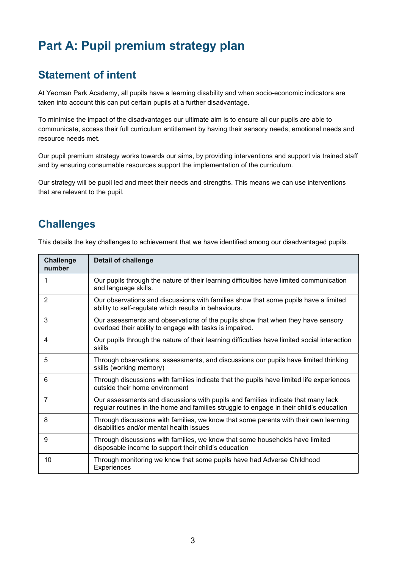# **Part A: Pupil premium strategy plan**

## **Statement of intent**

At Yeoman Park Academy, all pupils have a learning disability and when socio-economic indicators are taken into account this can put certain pupils at a further disadvantage.

To minimise the impact of the disadvantages our ultimate aim is to ensure all our pupils are able to communicate, access their full curriculum entitlement by having their sensory needs, emotional needs and resource needs met.

Our pupil premium strategy works towards our aims, by providing interventions and support via trained staff and by ensuring consumable resources support the implementation of the curriculum.

Our strategy will be pupil led and meet their needs and strengths. This means we can use interventions that are relevant to the pupil.

#### **Challenges**

This details the key challenges to achievement that we have identified among our disadvantaged pupils.

| <b>Challenge</b><br>number | <b>Detail of challenge</b>                                                                                                                                                  |
|----------------------------|-----------------------------------------------------------------------------------------------------------------------------------------------------------------------------|
| 1                          | Our pupils through the nature of their learning difficulties have limited communication<br>and language skills.                                                             |
| 2                          | Our observations and discussions with families show that some pupils have a limited<br>ability to self-regulate which results in behaviours.                                |
| 3                          | Our assessments and observations of the pupils show that when they have sensory<br>overload their ability to engage with tasks is impaired.                                 |
| 4                          | Our pupils through the nature of their learning difficulties have limited social interaction<br>skills                                                                      |
| 5                          | Through observations, assessments, and discussions our pupils have limited thinking<br>skills (working memory)                                                              |
| 6                          | Through discussions with families indicate that the pupils have limited life experiences<br>outside their home environment                                                  |
| 7                          | Our assessments and discussions with pupils and families indicate that many lack<br>regular routines in the home and families struggle to engage in their child's education |
| 8                          | Through discussions with families, we know that some parents with their own learning<br>disabilities and/or mental health issues                                            |
| 9                          | Through discussions with families, we know that some households have limited<br>disposable income to support their child's education                                        |
| 10                         | Through monitoring we know that some pupils have had Adverse Childhood<br>Experiences                                                                                       |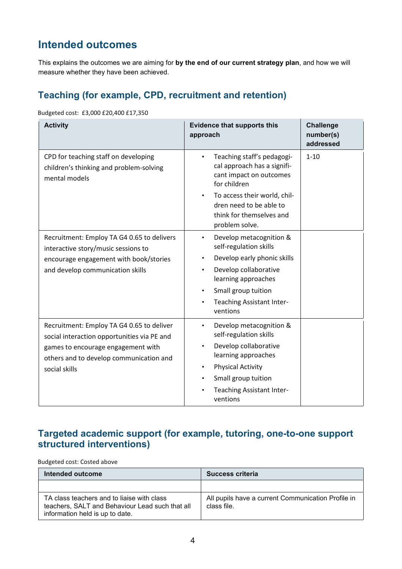## **Intended outcomes**

This explains the outcomes we are aiming for **by the end of our current strategy plan**, and how we will measure whether they have been achieved.

#### **Teaching (for example, CPD, recruitment and retention)**

Budgeted cost: £3,000 £20,400 £17,350

| <b>Activity</b>                                                                                                                                                                            | <b>Evidence that supports this</b><br>approach                                                                                                                                                                                                                           | <b>Challenge</b><br>number(s)<br>addressed |
|--------------------------------------------------------------------------------------------------------------------------------------------------------------------------------------------|--------------------------------------------------------------------------------------------------------------------------------------------------------------------------------------------------------------------------------------------------------------------------|--------------------------------------------|
| CPD for teaching staff on developing<br>children's thinking and problem-solving<br>mental models                                                                                           | Teaching staff's pedagogi-<br>cal approach has a signifi-<br>cant impact on outcomes<br>for children<br>To access their world, chil-<br>dren need to be able to<br>think for themselves and<br>problem solve.                                                            | $1 - 10$                                   |
| Recruitment: Employ TA G4 0.65 to delivers<br>interactive story/music sessions to<br>encourage engagement with book/stories<br>and develop communication skills                            | Develop metacognition &<br>$\bullet$<br>self-regulation skills<br>Develop early phonic skills<br>$\bullet$<br>Develop collaborative<br>$\bullet$<br>learning approaches<br>Small group tuition<br>$\bullet$<br><b>Teaching Assistant Inter-</b><br>$\bullet$<br>ventions |                                            |
| Recruitment: Employ TA G4 0.65 to deliver<br>social interaction opportunities via PE and<br>games to encourage engagement with<br>others and to develop communication and<br>social skills | Develop metacognition &<br>٠<br>self-regulation skills<br>Develop collaborative<br>$\bullet$<br>learning approaches<br><b>Physical Activity</b><br>$\bullet$<br>Small group tuition<br>$\bullet$<br><b>Teaching Assistant Inter-</b><br>ventions                         |                                            |

#### **Targeted academic support (for example, tutoring, one-to-one support structured interventions)**

Budgeted cost: Costed above

| Intended outcome                                                                                                                 | Success criteria                                                  |
|----------------------------------------------------------------------------------------------------------------------------------|-------------------------------------------------------------------|
|                                                                                                                                  |                                                                   |
| TA class teachers and to liaise with class<br>teachers, SALT and Behaviour Lead such that all<br>information held is up to date. | All pupils have a current Communication Profile in<br>class file. |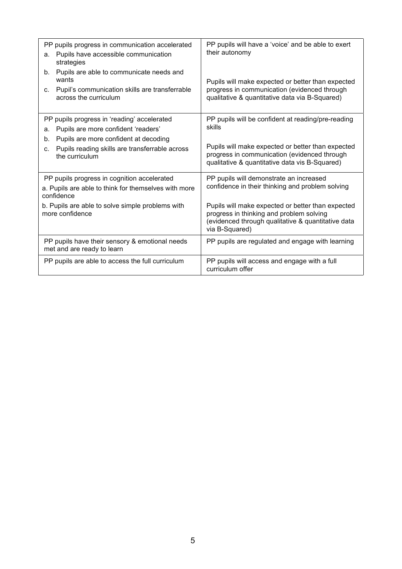| PP pupils progress in communication accelerated<br>Pupils have accessible communication<br>a.                                                                                                                              | PP pupils will have a 'voice' and be able to exert<br>their autonomy                                                                                                                                                |
|----------------------------------------------------------------------------------------------------------------------------------------------------------------------------------------------------------------------------|---------------------------------------------------------------------------------------------------------------------------------------------------------------------------------------------------------------------|
| strategies<br>Pupils are able to communicate needs and<br>b.<br>wants<br>Pupil's communication skills are transferrable<br>C.<br>across the curriculum                                                                     | Pupils will make expected or better than expected<br>progress in communication (evidenced through<br>qualitative & quantitative data via B-Squared)                                                                 |
| PP pupils progress in 'reading' accelerated<br>Pupils are more confident 'readers'<br>a.<br>Pupils are more confident at decoding<br>$b_{\cdot}$<br>Pupils reading skills are transferrable across<br>C.<br>the curriculum | PP pupils will be confident at reading/pre-reading<br>skills<br>Pupils will make expected or better than expected<br>progress in communication (evidenced through<br>qualitative & quantitative data vis B-Squared) |
| PP pupils progress in cognition accelerated<br>a. Pupils are able to think for themselves with more<br>confidence                                                                                                          | PP pupils will demonstrate an increased<br>confidence in their thinking and problem solving                                                                                                                         |
| b. Pupils are able to solve simple problems with<br>more confidence                                                                                                                                                        | Pupils will make expected or better than expected<br>progress in thinking and problem solving<br>(evidenced through qualitative & quantitative data<br>via B-Squared)                                               |
| PP pupils have their sensory & emotional needs<br>met and are ready to learn                                                                                                                                               | PP pupils are regulated and engage with learning                                                                                                                                                                    |
| PP pupils are able to access the full curriculum                                                                                                                                                                           | PP pupils will access and engage with a full<br>curriculum offer                                                                                                                                                    |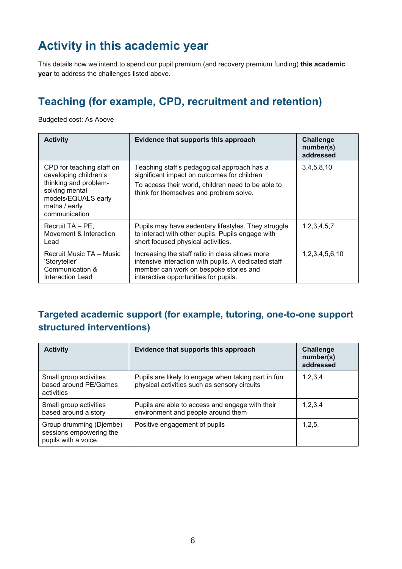# **Activity in this academic year**

This details how we intend to spend our pupil premium (and recovery premium funding) **this academic year** to address the challenges listed above.

## **Teaching (for example, CPD, recruitment and retention)**

Budgeted cost: As Above

| <b>Activity</b>                                                                                  | Evidence that supports this approach                                                                                                                                                       | <b>Challenge</b><br>number(s)<br>addressed |
|--------------------------------------------------------------------------------------------------|--------------------------------------------------------------------------------------------------------------------------------------------------------------------------------------------|--------------------------------------------|
| CPD for teaching staff on<br>developing children's                                               | Teaching staff's pedagogical approach has a<br>significant impact on outcomes for children                                                                                                 | 3,4,5,8,10                                 |
| thinking and problem-<br>solving mental<br>models/EQUALS early<br>maths / early<br>communication | To access their world, children need to be able to<br>think for themselves and problem solve.                                                                                              |                                            |
| Recruit TA - PE,<br>Movement & Interaction<br>Lead                                               | Pupils may have sedentary lifestyles. They struggle<br>to interact with other pupils. Pupils engage with<br>short focused physical activities.                                             | 1,2,3,4,5,7                                |
| Recruit Music TA - Music<br>'Storyteller'<br>Communication &<br>Interaction Lead                 | Increasing the staff ratio in class allows more<br>intensive interaction with pupils. A dedicated staff<br>member can work on bespoke stories and<br>interactive opportunities for pupils. | 1,2,3,4,5,6,10                             |

#### **Targeted academic support (for example, tutoring, one-to-one support structured interventions)**

| <b>Activity</b>                                                            | Evidence that supports this approach                                                                | <b>Challenge</b><br>number(s)<br>addressed |
|----------------------------------------------------------------------------|-----------------------------------------------------------------------------------------------------|--------------------------------------------|
| Small group activities<br>based around PE/Games<br>activities              | Pupils are likely to engage when taking part in fun<br>physical activities such as sensory circuits | 1,2,3,4                                    |
| Small group activities<br>based around a story                             | Pupils are able to access and engage with their<br>environment and people around them               | 1,2,3,4                                    |
| Group drumming (Djembe)<br>sessions empowering the<br>pupils with a voice. | Positive engagement of pupils                                                                       | 1,2,5,                                     |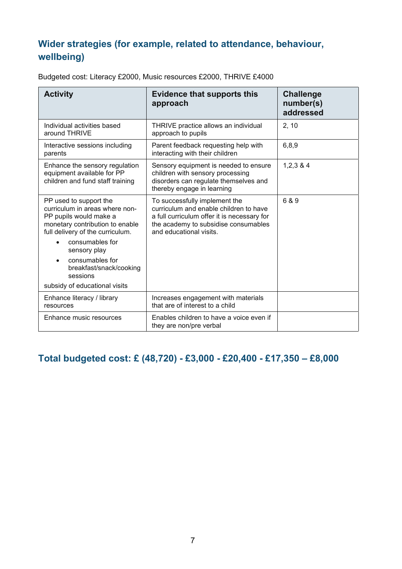## **Wider strategies (for example, related to attendance, behaviour, wellbeing)**

| <b>Activity</b>                                                                                                                                                                                                                                                                         | <b>Evidence that supports this</b><br>approach                                                                                                                                            | <b>Challenge</b><br>number(s)<br>addressed |
|-----------------------------------------------------------------------------------------------------------------------------------------------------------------------------------------------------------------------------------------------------------------------------------------|-------------------------------------------------------------------------------------------------------------------------------------------------------------------------------------------|--------------------------------------------|
| Individual activities based<br>around THRIVE                                                                                                                                                                                                                                            | THRIVE practice allows an individual<br>approach to pupils                                                                                                                                | 2, 10                                      |
| Interactive sessions including<br>parents                                                                                                                                                                                                                                               | Parent feedback requesting help with<br>interacting with their children                                                                                                                   | 6,8,9                                      |
| Enhance the sensory regulation<br>equipment available for PP<br>children and fund staff training                                                                                                                                                                                        | Sensory equipment is needed to ensure<br>children with sensory processing<br>disorders can regulate themselves and<br>thereby engage in learning                                          | 1,2,3,8,4                                  |
| PP used to support the<br>curriculum in areas where non-<br>PP pupils would make a<br>monetary contribution to enable<br>full delivery of the curriculum.<br>consumables for<br>sensory play<br>consumables for<br>breakfast/snack/cooking<br>sessions<br>subsidy of educational visits | To successfully implement the<br>curriculum and enable children to have<br>a full curriculum offer it is necessary for<br>the academy to subsidise consumables<br>and educational visits. | 6 & 9                                      |
| Enhance literacy / library<br>resources                                                                                                                                                                                                                                                 | Increases engagement with materials<br>that are of interest to a child                                                                                                                    |                                            |
| Enhance music resources                                                                                                                                                                                                                                                                 | Enables children to have a voice even if<br>they are non/pre verbal                                                                                                                       |                                            |

Budgeted cost: Literacy £2000, Music resources £2000, THRIVE £4000

#### **Total budgeted cost: £ (48,720) - £3,000 - £20,400 - £17,350 – £8,000**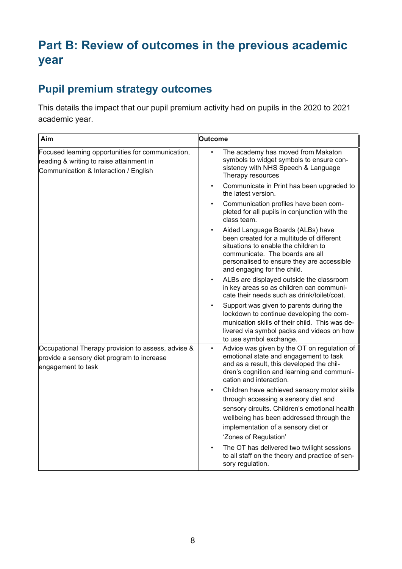# **Part B: Review of outcomes in the previous academic year**

## **Pupil premium strategy outcomes**

This details the impact that our pupil premium activity had on pupils in the 2020 to 2021 academic year.

| Aim                                                                                                                                    | <b>Outcome</b>                                                                                                                                                                                                                         |
|----------------------------------------------------------------------------------------------------------------------------------------|----------------------------------------------------------------------------------------------------------------------------------------------------------------------------------------------------------------------------------------|
| Focused learning opportunities for communication,<br>reading & writing to raise attainment in<br>Communication & Interaction / English | The academy has moved from Makaton<br>$\bullet$<br>symbols to widget symbols to ensure con-<br>sistency with NHS Speech & Language<br>Therapy resources                                                                                |
|                                                                                                                                        | Communicate in Print has been upgraded to<br>$\bullet$<br>the latest version.                                                                                                                                                          |
|                                                                                                                                        | Communication profiles have been com-<br>pleted for all pupils in conjunction with the<br>class team.                                                                                                                                  |
|                                                                                                                                        | Aided Language Boards (ALBs) have<br>been created for a multitude of different<br>situations to enable the children to<br>communicate. The boards are all<br>personalised to ensure they are accessible<br>and engaging for the child. |
|                                                                                                                                        | ALBs are displayed outside the classroom<br>in key areas so as children can communi-<br>cate their needs such as drink/toilet/coat.                                                                                                    |
|                                                                                                                                        | Support was given to parents during the<br>lockdown to continue developing the com-<br>munication skills of their child. This was de-<br>livered via symbol packs and videos on how<br>to use symbol exchange.                         |
| Occupational Therapy provision to assess, advise &<br>provide a sensory diet program to increase<br>engagement to task                 | Advice was given by the OT on regulation of<br>$\bullet$<br>emotional state and engagement to task<br>and as a result, this developed the chil-<br>dren's cognition and learning and communi-<br>cation and interaction.               |
|                                                                                                                                        | Children have achieved sensory motor skills                                                                                                                                                                                            |
|                                                                                                                                        | through accessing a sensory diet and                                                                                                                                                                                                   |
|                                                                                                                                        | sensory circuits. Children's emotional health                                                                                                                                                                                          |
|                                                                                                                                        | wellbeing has been addressed through the                                                                                                                                                                                               |
|                                                                                                                                        | implementation of a sensory diet or<br>'Zones of Regulation'                                                                                                                                                                           |
|                                                                                                                                        |                                                                                                                                                                                                                                        |
|                                                                                                                                        | The OT has delivered two twilight sessions<br>to all staff on the theory and practice of sen-<br>sory regulation.                                                                                                                      |